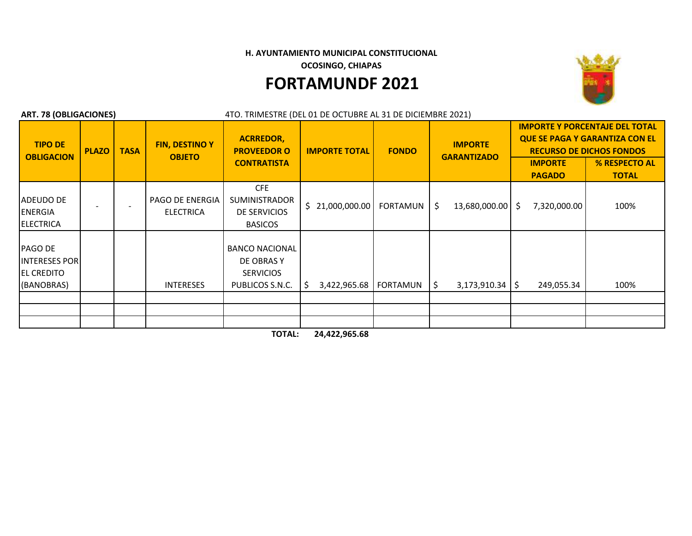**H. AYUNTAMIENTO MUNICIPAL CONSTITUCIONAL** 

**OCOSINGO, CHIAPAS** 

## **FORTAMUNDF 2021**



| <b>ART. 78 (OBLIGACIONES)</b><br>4TO. TRIMESTRE (DEL 01 DE OCTUBRE AL 31 DE DICIEMBRE 2021) |              |             |                                        |                                                                            |                      |                 |                                      |                                                                                                                   |                               |
|---------------------------------------------------------------------------------------------|--------------|-------------|----------------------------------------|----------------------------------------------------------------------------|----------------------|-----------------|--------------------------------------|-------------------------------------------------------------------------------------------------------------------|-------------------------------|
| <b>TIPO DE</b><br><b>OBLIGACION</b>                                                         | <b>PLAZO</b> | <b>TASA</b> | <b>FIN, DESTINO Y</b><br><b>OBJETO</b> | <b>ACRREDOR,</b><br><b>PROVEEDOR O</b><br><b>CONTRATISTA</b>               | <b>IMPORTE TOTAL</b> | <b>FONDO</b>    | <b>IMPORTE</b><br><b>GARANTIZADO</b> | <b>IMPORTE Y PORCENTAJE DEL TOTAL</b><br><b>QUE SE PAGA Y GARANTIZA CON EL</b><br><b>RECURSO DE DICHOS FONDOS</b> |                               |
|                                                                                             |              |             |                                        |                                                                            |                      |                 |                                      | <b>IMPORTE</b><br><b>PAGADO</b>                                                                                   | % RESPECTO AL<br><b>TOTAL</b> |
| ADEUDO DE<br><b>ENERGIA</b><br><b>ELECTRICA</b>                                             |              |             | PAGO DE ENERGIA<br><b>ELECTRICA</b>    | <b>CFE</b><br><b>SUMINISTRADOR</b><br>DE SERVICIOS<br><b>BASICOS</b>       | Ś.<br>21,000,000.00  | <b>FORTAMUN</b> | \$<br>13,680,000.00                  | 7,320,000.00<br>S.                                                                                                | 100%                          |
| PAGO DE<br><b>INTERESES POR</b><br><b>EL CREDITO</b><br>(BANOBRAS)                          |              |             | <b>INTERESES</b>                       | <b>BANCO NACIONAL</b><br>DE OBRAS Y<br><b>SERVICIOS</b><br>PUBLICOS S.N.C. | 3,422,965.68<br>-S   | FORTAMUN        | \$<br>$3,173,910.34$   \$            | 249,055.34                                                                                                        | 100%                          |
|                                                                                             |              |             |                                        |                                                                            |                      |                 |                                      |                                                                                                                   |                               |
|                                                                                             |              |             |                                        |                                                                            |                      |                 |                                      |                                                                                                                   |                               |
|                                                                                             |              |             |                                        |                                                                            |                      |                 |                                      |                                                                                                                   |                               |

**TOTAL: 24,422,965.68**